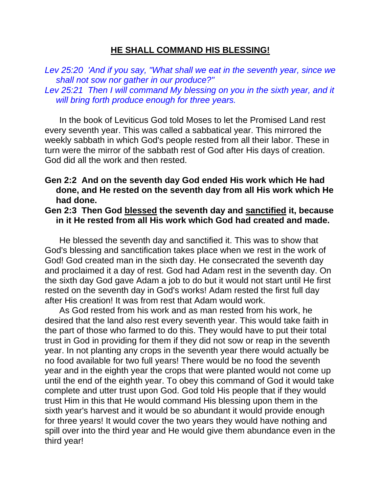### **HE SHALL COMMAND HIS BLESSING!**

*Lev 25:20 'And if you say, "What shall we eat in the seventh year, since we shall not sow nor gather in our produce?"* 

*Lev 25:21 Then I will command My blessing on you in the sixth year, and it will bring forth produce enough for three years.* 

 In the book of Leviticus God told Moses to let the Promised Land rest every seventh year. This was called a sabbatical year. This mirrored the weekly sabbath in which God's people rested from all their labor. These in turn were the mirror of the sabbath rest of God after His days of creation. God did all the work and then rested.

### **Gen 2:2 And on the seventh day God ended His work which He had done, and He rested on the seventh day from all His work which He had done.**

## **Gen 2:3 Then God blessed the seventh day and sanctified it, because in it He rested from all His work which God had created and made.**

 He blessed the seventh day and sanctified it. This was to show that God's blessing and sanctification takes place when we rest in the work of God! God created man in the sixth day. He consecrated the seventh day and proclaimed it a day of rest. God had Adam rest in the seventh day. On the sixth day God gave Adam a job to do but it would not start until He first rested on the seventh day in God's works! Adam rested the first full day after His creation! It was from rest that Adam would work.

 As God rested from his work and as man rested from his work, he desired that the land also rest every seventh year. This would take faith in the part of those who farmed to do this. They would have to put their total trust in God in providing for them if they did not sow or reap in the seventh year. In not planting any crops in the seventh year there would actually be no food available for two full years! There would be no food the seventh year and in the eighth year the crops that were planted would not come up until the end of the eighth year. To obey this command of God it would take complete and utter trust upon God. God told His people that if they would trust Him in this that He would command His blessing upon them in the sixth year's harvest and it would be so abundant it would provide enough for three years! It would cover the two years they would have nothing and spill over into the third year and He would give them abundance even in the third year!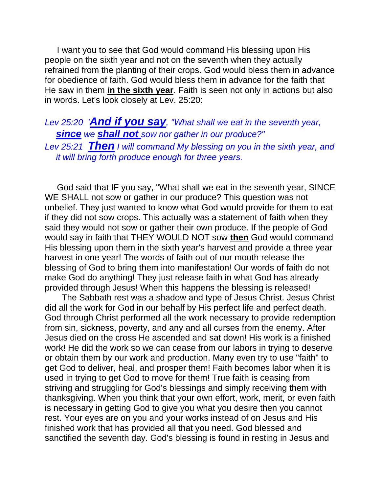I want you to see that God would command His blessing upon His people on the sixth year and not on the seventh when they actually refrained from the planting of their crops. God would bless them in advance for obedience of faith. God would bless them in advance for the faith that He saw in them **in the sixth year**. Faith is seen not only in actions but also in words. Let's look closely at Lev. 25:20:

# *Lev 25:20 'And if you say, "What shall we eat in the seventh year, since we shall not sow nor gather in our produce?" Lev 25:21 Then I will command My blessing on you in the sixth year, and it will bring forth produce enough for three years.*

 God said that IF you say, "What shall we eat in the seventh year, SINCE WE SHALL not sow or gather in our produce? This question was not unbelief. They just wanted to know what God would provide for them to eat if they did not sow crops. This actually was a statement of faith when they said they would not sow or gather their own produce. If the people of God would say in faith that THEY WOULD NOT sow **then** God would command His blessing upon them in the sixth year's harvest and provide a three year harvest in one year! The words of faith out of our mouth release the blessing of God to bring them into manifestation! Our words of faith do not make God do anything! They just release faith in what God has already provided through Jesus! When this happens the blessing is released!

 The Sabbath rest was a shadow and type of Jesus Christ. Jesus Christ did all the work for God in our behalf by His perfect life and perfect death. God through Christ performed all the work necessary to provide redemption from sin, sickness, poverty, and any and all curses from the enemy. After Jesus died on the cross He ascended and sat down! His work is a finished work! He did the work so we can cease from our labors in trying to deserve or obtain them by our work and production. Many even try to use "faith" to get God to deliver, heal, and prosper them! Faith becomes labor when it is used in trying to get God to move for them! True faith is ceasing from striving and struggling for God's blessings and simply receiving them with thanksgiving. When you think that your own effort, work, merit, or even faith is necessary in getting God to give you what you desire then you cannot rest. Your eyes are on you and your works instead of on Jesus and His finished work that has provided all that you need. God blessed and sanctified the seventh day. God's blessing is found in resting in Jesus and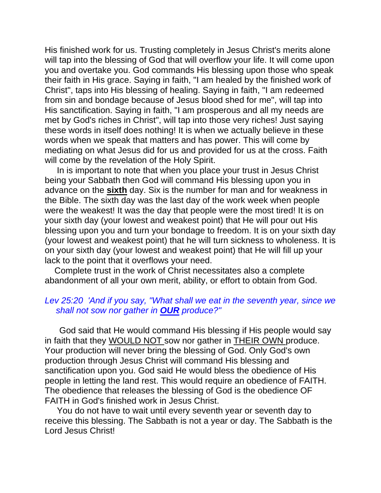His finished work for us. Trusting completely in Jesus Christ's merits alone will tap into the blessing of God that will overflow your life. It will come upon you and overtake you. God commands His blessing upon those who speak their faith in His grace. Saying in faith, "I am healed by the finished work of Christ", taps into His blessing of healing. Saying in faith, "I am redeemed from sin and bondage because of Jesus blood shed for me", will tap into His sanctification. Saying in faith, "I am prosperous and all my needs are met by God's riches in Christ", will tap into those very riches! Just saying these words in itself does nothing! It is when we actually believe in these words when we speak that matters and has power. This will come by mediating on what Jesus did for us and provided for us at the cross. Faith will come by the revelation of the Holy Spirit.

 In is important to note that when you place your trust in Jesus Christ being your Sabbath then God will command His blessing upon you in advance on the **sixth** day. Six is the number for man and for weakness in the Bible. The sixth day was the last day of the work week when people were the weakest! It was the day that people were the most tired! It is on your sixth day (your lowest and weakest point) that He will pour out His blessing upon you and turn your bondage to freedom. It is on your sixth day (your lowest and weakest point) that he will turn sickness to wholeness. It is on your sixth day (your lowest and weakest point) that He will fill up your lack to the point that it overflows your need.

 Complete trust in the work of Christ necessitates also a complete abandonment of all your own merit, ability, or effort to obtain from God.

## *Lev 25:20 'And if you say, "What shall we eat in the seventh year, since we shall not sow nor gather in OUR produce?"*

 God said that He would command His blessing if His people would say in faith that they WOULD NOT sow nor gather in THEIR OWN produce. Your production will never bring the blessing of God. Only God's own production through Jesus Christ will command His blessing and sanctification upon you. God said He would bless the obedience of His people in letting the land rest. This would require an obedience of FAITH. The obedience that releases the blessing of God is the obedience OF FAITH in God's finished work in Jesus Christ.

 You do not have to wait until every seventh year or seventh day to receive this blessing. The Sabbath is not a year or day. The Sabbath is the Lord Jesus Christ!